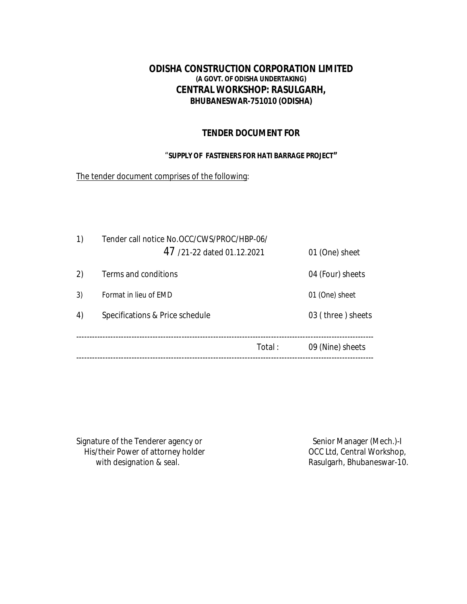# **ODISHA CONSTRUCTION CORPORATION LIMITED (A GOVT. OF ODISHA UNDERTAKING) CENTRAL WORKSHOP: RASULGARH, BHUBANESWAR-751010 (ODISHA)**

## **TENDER DOCUMENT FOR**

#### "**SUPPLY OF FASTENERS FOR HATI BARRAGE PROJECT"**

The tender document comprises of the following:

| 1) | Tender call notice No.OCC/CWS/PROC/HBP-06/ |                   |
|----|--------------------------------------------|-------------------|
|    | 47/21-22 dated 01.12.2021                  | 01 (One) sheet    |
| 2) | Terms and conditions                       | 04 (Four) sheets  |
| 3) | Format in lieu of EMD                      | 01 (One) sheet    |
| 4) | Specifications & Price schedule            | 03 (three) sheets |
|    | Total:                                     | 09 (Nine) sheets  |
|    |                                            |                   |

Signature of the Tenderer agency or<br>
His/their Power of attorney holder<br>
OCC Ltd, Central Workshop, His/their Power of attorney holder<br>with designation & seal.

Rasulgarh, Bhubaneswar-10.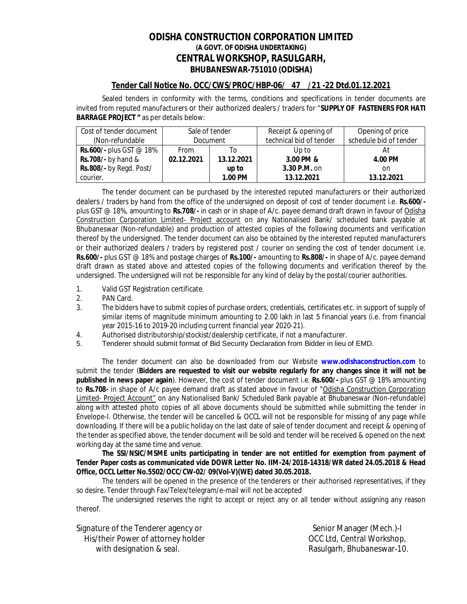## **ODISHA CONSTRUCTION CORPORATION LIMITED (A GOVT. OF ODISHA UNDERTAKING) CENTRAL WORKSHOP, RASULGARH, BHUBANESWAR-751010 (ODISHA)**

#### **Tender Call Notice No. OCC/CWS/PROC/HBP-06/ 47 /21 -22 Dtd.01.12.2021**

Sealed tenders in conformity with the terms, conditions and specifications in tender documents are invited from reputed manufacturers or their authorized dealers / traders for "**SUPPLY OF FASTENERS FOR HATI BARRAGE PROJECT "** as per details below:

| Cost of tender document          |             | Sale of tender  | Receipt & opening of    | Opening of price       |  |  |
|----------------------------------|-------------|-----------------|-------------------------|------------------------|--|--|
| (Non-refundable)                 |             | <b>Document</b> | technical bid of tender | schedule bid of tender |  |  |
| <b>Rs.600/-</b> plus GST $@$ 18% | <b>From</b> | I٥              | Up to                   | Αt                     |  |  |
| Rs.708/- by hand $&$             | 02.12.2021  | 13.12.2021      | 3.00 PM &               | 4.00 PM                |  |  |
| Rs.808/- by Regd. Post/          |             | up to           | 3.30 P.M. on            | on                     |  |  |
| courier.                         |             | 1.00 PM         | 13.12.2021              | 13.12.2021             |  |  |

The tender document can be purchased by the interested reputed manufacturers or their authorized dealers / traders by hand from the office of the undersigned on deposit of cost of tender document i.e. **Rs.600/** plus GST @ 18%, amounting to **Rs.708/-** in cash or in shape of A/c. payee demand draft drawn in favour of Odisha Construction Corporation Limited- Project account on any Nationalised Bank/ scheduled bank payable at Bhubaneswar (Non-refundable) and production of attested copies of the following documents and verification thereof by the undersigned. The tender document can also be obtained by the interested reputed manufacturers or their authorized dealers / traders by registered post / courier on sending the cost of tender document i.e. **Rs.600/-** plus GST @ 18% and postage charges of **Rs.100/-** amounting to **Rs.808/-** in shape of A/c. payee demand draft drawn as stated above and attested copies of the following documents and verification thereof by the undersigned. The undersigned will not be responsible for any kind of delay by the postal/courier authorities.

- 1. Valid GST Registration certificate.
- 2. PAN Card.
- 3. The bidders have to submit copies of purchase orders, credentials, certificates etc. in support of supply of similar items of magnitude minimum amounting to 2.00 lakh in last 5 financial years (i.e. from financial year 2015-16 to 2019-20 including current financial year 2020-21).
- 4. Authorised distributorship/stockist/dealership certificate, if not a manufacturer.
- 5. Tenderer should submit format of Bid Security Declaration from Bidder in lieu of EMD.

The tender document can also be downloaded from our Website **www.odishaconstruction.com** to submit the tender (**Bidders are requested to visit our website regularly for any changes since it will not be published in news paper again**). However, the cost of tender document i.e. **Rs.600/-** plus GST @ 18% amounting to **Rs.708-** in shape of A/c payee demand draft as stated above in favour of "Odisha Construction Corporation Limited- Project Account" on any Nationalised Bank/ Scheduled Bank payable at Bhubaneswar (Non-refundable) along with attested photo copies of all above documents should be submitted while submitting the tender in Envelope-I. Otherwise, the tender will be cancelled & OCCL will not be responsible for missing of any page while downloading. If there will be a public holiday on the last date of sale of tender document and receipt & opening of the tender as specified above, the tender document will be sold and tender will be received & opened on the next working day at the same time and venue.

**The SSI/NSIC/MSME units participating in tender are not entitled for exemption from payment of Tender Paper costs as communicated vide DOWR Letter No. IIM-24/2018-14318/WR dated 24.05.2018 & Head Office, OCCL Letter No.5502/OCC/CW-02/ 09(Vol-V)(WE) dated 30.05.2018.**

The tenders will be opened in the presence of the tenderers or their authorised representatives, if they so desire. Tender through Fax/Telex/telegram/e-mail will not be accepted

The undersigned reserves the right to accept or reject any or all tender without assigning any reason thereof.

| Signature of the Tenderer agency or | Senior Manager (Mech.)-I   |
|-------------------------------------|----------------------------|
| His/their Power of attorney holder  | OCC Ltd, Central Workshop, |
| with designation & seal.            | Rasulgarh, Bhubaneswar-10. |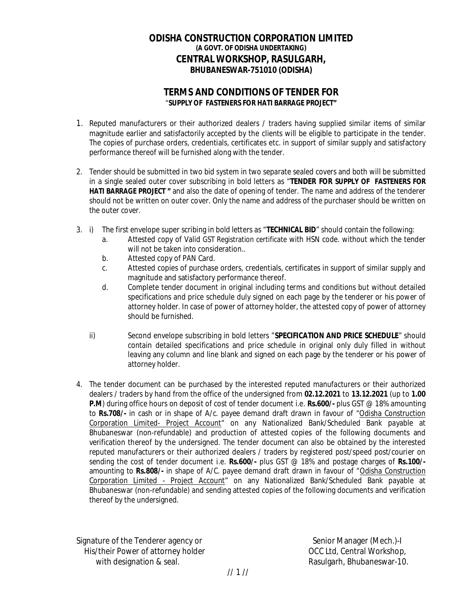## **ODISHA CONSTRUCTION CORPORATION LIMITED (A GOVT. OF ODISHA UNDERTAKING) CENTRAL WORKSHOP, RASULGARH, BHUBANESWAR-751010 (ODISHA)**

# **TERMS AND CONDITIONS OF TENDER FOR**  "**SUPPLY OF FASTENERS FOR HATI BARRAGE PROJECT"**

- 1. Reputed manufacturers or their authorized dealers / traders having supplied similar items of similar magnitude earlier and satisfactorily accepted by the clients will be eligible to participate in the tender. The copies of purchase orders, credentials, certificates etc. in support of similar supply and satisfactory performance thereof will be furnished along with the tender.
- 2. Tender should be submitted in two bid system in two separate sealed covers and both will be submitted in a single sealed outer cover subscribing in bold letters as "**TENDER FOR SUPPLY OF FASTENERS FOR HATI BARRAGE PROJECT "** and also the date of opening of tender. The name and address of the tenderer should not be written on outer cover. Only the name and address of the purchaser should be written on the outer cover.
- 3. i) The first envelope super scribing in bold letters as "**TECHNICAL BID**" should contain the following:
	- a. Attested copy of Valid GST Registration certificate with HSN code. without which the tender will not be taken into consideration..
	- b. Attested copy of PAN Card.
	- c. Attested copies of purchase orders, credentials, certificates in support of similar supply and magnitude and satisfactory performance thereof.
	- d. Complete tender document in original including terms and conditions but without detailed specifications and price schedule duly signed on each page by the tenderer or his power of attorney holder. In case of power of attorney holder, the attested copy of power of attorney should be furnished.
	- ii) Second envelope subscribing in bold letters "**SPECIFICATION AND PRICE SCHEDULE**" should contain detailed specifications and price schedule in original only duly filled in without leaving any column and line blank and signed on each page by the tenderer or his power of attorney holder.
- 4. The tender document can be purchased by the interested reputed manufacturers or their authorized dealers / traders by hand from the office of the undersigned from **02.12.2021** to **13.12.2021** (up to **1.00 P.M**) during office hours on deposit of cost of tender document i.e. **Rs.600/-** plus GST @ 18% amounting to **Rs.708/-** in cash or in shape of A/c. payee demand draft drawn in favour of "Odisha Construction Corporation Limited- Project Account<sup>"</sup> on any Nationalized Bank/Scheduled Bank payable at Bhubaneswar (non-refundable) and production of attested copies of the following documents and verification thereof by the undersigned. The tender document can also be obtained by the interested reputed manufacturers or their authorized dealers / traders by registered post/speed post/courier on sending the cost of tender document i.e. **Rs.600/-** plus GST @ 18% and postage charges of **Rs.100/** amounting to **Rs.808/-** in shape of A/C. payee demand draft drawn in favour of "Odisha Construction Corporation Limited - Project Account" on any Nationalized Bank/Scheduled Bank payable at Bhubaneswar (non-refundable) and sending attested copies of the following documents and verification thereof by the undersigned.

Signature of the Tenderer agency or Senior Manager (Mech.)-I His/their Power of attorney holder **OCC Ltd, Central Workshop**, with designation & seal. And the seale of the seale of the Rasulgarh, Bhubaneswar-10.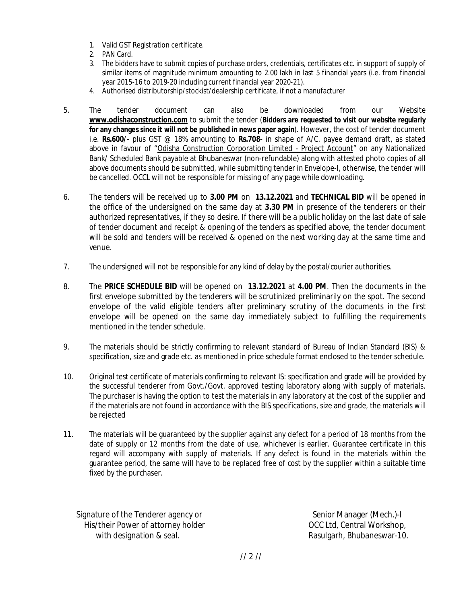- 1. Valid GST Registration certificate.
- 2. PAN Card.
- 3. The bidders have to submit copies of purchase orders, credentials, certificates etc. in support of supply of similar items of magnitude minimum amounting to 2.00 lakh in last 5 financial years (i.e. from financial year 2015-16 to 2019-20 including current financial year 2020-21).
- 4. Authorised distributorship/stockist/dealership certificate, if not a manufacturer
- 5. The tender document can also be downloaded from our Website **www.odishaconstruction.com** to submit the tender (**Bidders are requested to visit our website regularly for any changes since it will not be published in news paper again**). However, the cost of tender document i.e. **Rs.600/-** plus GST @ 18% amounting to **Rs.708-** in shape of A/C. payee demand draft, as stated above in favour of "Odisha Construction Corporation Limited - Project Account" on any Nationalized Bank/ Scheduled Bank payable at Bhubaneswar (non-refundable) along with attested photo copies of all above documents should be submitted, while submitting tender in Envelope-I, otherwise, the tender will be cancelled. OCCL will not be responsible for missing of any page while downloading.
- 6. The tenders will be received up to **3.00 PM** on **13.12.2021** and **TECHNICAL BID** will be opened in the office of the undersigned on the same day at **3.30 PM** in presence of the tenderers or their authorized representatives, if they so desire. If there will be a public holiday on the last date of sale of tender document and receipt & opening of the tenders as specified above, the tender document will be sold and tenders will be received & opened on the next working day at the same time and venue.
- 7. The undersigned will not be responsible for any kind of delay by the postal/courier authorities.
- 8. The **PRICE SCHEDULE BID** will be opened on **13.12.2021** at **4.00 PM**. Then the documents in the first envelope submitted by the tenderers will be scrutinized preliminarily on the spot. The second envelope of the valid eligible tenders after preliminary scrutiny of the documents in the first envelope will be opened on the same day immediately subject to fulfilling the requirements mentioned in the tender schedule.
- 9. The materials should be strictly confirming to relevant standard of Bureau of Indian Standard (BIS) & specification, size and grade etc. as mentioned in price schedule format enclosed to the tender schedule.
- 10. Original test certificate of materials confirming to relevant IS: specification and grade will be provided by the successful tenderer from Govt./Govt. approved testing laboratory along with supply of materials. The purchaser is having the option to test the materials in any laboratory at the cost of the supplier and if the materials are not found in accordance with the BIS specifications, size and grade, the materials will be rejected
- 11. The materials will be guaranteed by the supplier against any defect for a period of 18 months from the date of supply or 12 months from the date of use, whichever is earlier. Guarantee certificate in this regard will accompany with supply of materials. If any defect is found in the materials within the guarantee period, the same will have to be replaced free of cost by the supplier within a suitable time fixed by the purchaser.

Signature of the Tenderer agency or Senior Manager (Mech.)-I His/their Power of attorney holder **OCC Ltd, Central Workshop**, with designation & seal. The second section of the sealer search in the Rasulgarh, Bhubaneswar-10.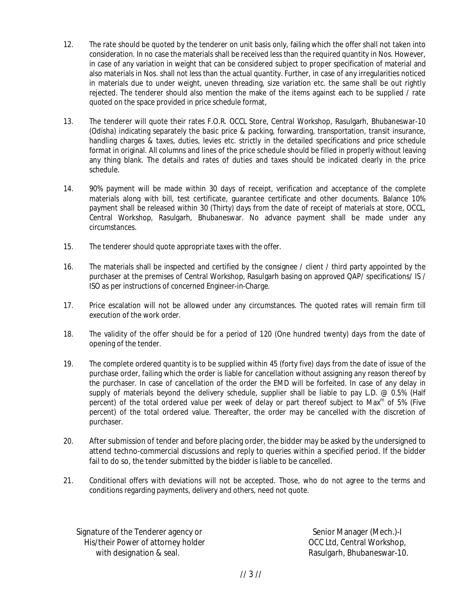- 12. The rate should be quoted by the tenderer on unit basis only, failing which the offer shall not taken into consideration. In no case the materials shall be received less than the required quantity in Nos. However, in case of any variation in weight that can be considered subject to proper specification of material and also materials in Nos. shall not less than the actual quantity. Further, in case of any irregularities noticed in materials due to under weight, uneven threading, size variation etc. the same shall be out rightly rejected. The tenderer should also mention the make of the items against each to be supplied / rate quoted on the space provided in price schedule format,
- 13. The tenderer will quote their rates F.O.R. OCCL Store, Central Workshop, Rasulgarh, Bhubaneswar-10 (Odisha) indicating separately the basic price & packing, forwarding, transportation, transit insurance, handling charges & taxes, duties, levies etc. strictly in the detailed specifications and price schedule format in original. All columns and lines of the price schedule should be filled in properly without leaving any thing blank. The details and rates of duties and taxes should be indicated clearly in the price schedule.
- 14. 90% payment will be made within 30 days of receipt, verification and acceptance of the complete materials along with bill, test certificate, guarantee certificate and other documents. Balance 10% payment shall be released within 30 (Thirty) days from the date of receipt of materials at store, OCCL, Central Workshop, Rasulgarh, Bhubaneswar. No advance payment shall be made under any circumstances.
- 15. The tenderer should quote appropriate taxes with the offer.
- 16. The materials shall be inspected and certified by the consignee / client / third party appointed by the purchaser at the premises of Central Workshop, Rasulgarh basing on approved QAP/ specifications/ IS / ISO as per instructions of concerned Engineer-in-Charge.
- 17. Price escalation will not be allowed under any circumstances. The quoted rates will remain firm till execution of the work order.
- 18. The validity of the offer should be for a period of 120 (One hundred twenty) days from the date of opening of the tender.
- 19. The complete ordered quantity is to be supplied within 45 (forty five) days from the date of issue of the purchase order, failing which the order is liable for cancellation without assigning any reason thereof by the purchaser. In case of cancellation of the order the EMD will be forfeited. In case of any delay in supply of materials beyond the delivery schedule, supplier shall be liable to pay L.D. @ 0.5% (Half percent) of the total ordered value per week of delay or part thereof subject to Max<sup>m</sup> of 5% (Five percent) of the total ordered value. Thereafter, the order may be cancelled with the discretion of purchaser.
- 20. After submission of tender and before placing order, the bidder may be asked by the undersigned to attend techno-commercial discussions and reply to queries within a specified period. If the bidder fail to do so, the tender submitted by the bidder is liable to be cancelled.
- 21. Conditional offers with deviations will not be accepted. Those, who do not agree to the terms and conditions regarding payments, delivery and others, need not quote.

Signature of the Tenderer agency or Senior Manager (Mech.)-I His/their Power of attorney holder **OCC Ltd, Central Workshop**, with designation & seal. The second section of the sealer search in the Rasulgarh, Bhubaneswar-10.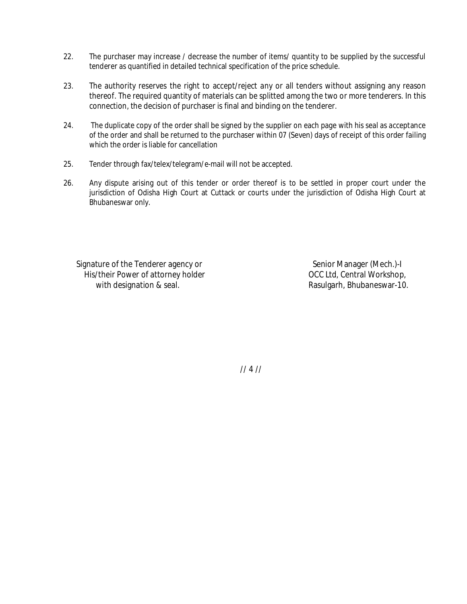- 22. The purchaser may increase / decrease the number of items/ quantity to be supplied by the successful tenderer as quantified in detailed technical specification of the price schedule.
- 23. The authority reserves the right to accept/reject any or all tenders without assigning any reason thereof. The required quantity of materials can be splitted among the two or more tenderers. In this connection, the decision of purchaser is final and binding on the tenderer.
- 24. The duplicate copy of the order shall be signed by the supplier on each page with his seal as acceptance of the order and shall be returned to the purchaser within 07 (Seven) days of receipt of this order failing which the order is liable for cancellation
- 25. Tender through fax/telex/telegram/e-mail will not be accepted.
- 26. Any dispute arising out of this tender or order thereof is to be settled in proper court under the jurisdiction of Odisha High Court at Cuttack or courts under the jurisdiction of Odisha High Court at Bhubaneswar only.

Signature of the Tenderer agency or Senior Manager (Mech.)-I His/their Power of attorney holder **OCC Ltd, Central Workshop**, with designation & seal. And the seale of the seale of the Rasulgarh, Bhubaneswar-10.

// 4 //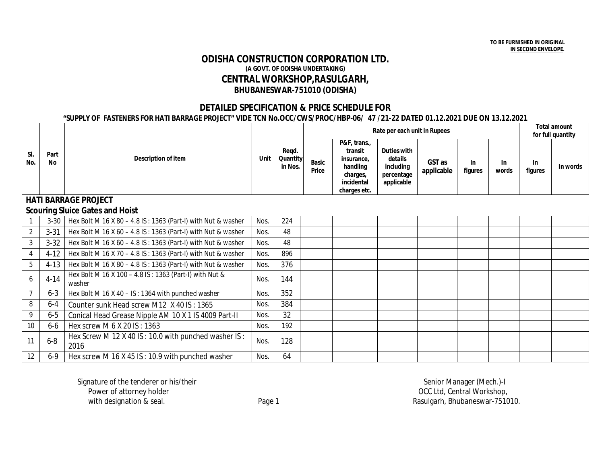### **ODISHA CONSTRUCTION CORPORATION LTD. (A GOVT. OF ODISHA UNDERTAKING) CENTRAL WORKSHOP,RASULGARH, BHUBANESWAR-751010 (ODISHA)**

#### **DETAILED SPECIFICATION & PRICE SCHEDULE FOR**

#### **"SUPPLY OF FASTENERS FOR HATI BARRAGE PROJECT" VIDE TCN No.OCC/CWS/PROC/HBP-06/ 47 /21-22 DATED 01.12.2021 DUE ON 13.12.2021**

|                             |            | Description of item                                              | Unit |                              |                       |                                                                                             | <b>Total amount</b><br>for full quantity                               |                      |                      |                    |                      |          |
|-----------------------------|------------|------------------------------------------------------------------|------|------------------------------|-----------------------|---------------------------------------------------------------------------------------------|------------------------------------------------------------------------|----------------------|----------------------|--------------------|----------------------|----------|
| SI.<br>No.                  | Part<br>No |                                                                  |      | Reqd.<br>Quantity<br>in Nos. | <b>Basic</b><br>Price | P&F, trans.,<br>transit<br>insurance.<br>handling<br>charges,<br>incidental<br>charges etc. | <b>Duties with</b><br>details<br>including<br>percentage<br>applicable | GST as<br>applicable | <b>In</b><br>figures | <b>In</b><br>words | <b>In</b><br>figures | In words |
| <b>HATI BARRAGE PROJECT</b> |            |                                                                  |      |                              |                       |                                                                                             |                                                                        |                      |                      |                    |                      |          |
|                             |            | <b>Scouring Sluice Gates and Hoist</b>                           |      |                              |                       |                                                                                             |                                                                        |                      |                      |                    |                      |          |
|                             | $3 - 30$   | Hex Bolt M 16 X 80 - 4.8 IS: 1363 (Part-I) with Nut & washer     | Nos. | 224                          |                       |                                                                                             |                                                                        |                      |                      |                    |                      |          |
| $\overline{2}$              | $3 - 31$   | Hex Bolt M 16 X 60 - 4.8 IS: 1363 (Part-I) with Nut & washer     | Nos. | 48                           |                       |                                                                                             |                                                                        |                      |                      |                    |                      |          |
| 3                           | $3 - 32$   | Hex Bolt M 16 X 60 - 4.8 IS: 1363 (Part-I) with Nut & washer     | Nos. | 48                           |                       |                                                                                             |                                                                        |                      |                      |                    |                      |          |
| 4                           | $4-12$     | Hex Bolt M 16 X 70 - 4.8 IS: 1363 (Part-I) with Nut & washer     | Nos. | 896                          |                       |                                                                                             |                                                                        |                      |                      |                    |                      |          |
| 5                           | $4-13$     | Hex Bolt M 16 X 80 - 4.8 IS: 1363 (Part-I) with Nut & washer     | Nos. | 376                          |                       |                                                                                             |                                                                        |                      |                      |                    |                      |          |
| 6                           | $4 - 14$   | Hex Bolt M 16 X 100 - 4.8 IS: 1363 (Part-I) with Nut &<br>washer | Nos. | 144                          |                       |                                                                                             |                                                                        |                      |                      |                    |                      |          |
|                             | $6 - 3$    | Hex Bolt M 16 X 40 - IS: 1364 with punched washer                | Nos. | 352                          |                       |                                                                                             |                                                                        |                      |                      |                    |                      |          |
| 8                           | $6 - 4$    | Counter sunk Head screw M12 X 40 IS: 1365                        | Nos. | 384                          |                       |                                                                                             |                                                                        |                      |                      |                    |                      |          |
| 9                           | $6-5$      | Conical Head Grease Nipple AM 10 X 1 IS 4009 Part-II             | Nos. | 32                           |                       |                                                                                             |                                                                        |                      |                      |                    |                      |          |
| 10                          | 6-6        | Hex screw M 6 X 20 IS: 1363                                      | Nos. | 192                          |                       |                                                                                             |                                                                        |                      |                      |                    |                      |          |
| 11                          | $6 - 8$    | Hex Screw M 12 X 40 IS: 10.0 with punched washer IS:<br>2016     | Nos. | 128                          |                       |                                                                                             |                                                                        |                      |                      |                    |                      |          |
| 12                          | $6 - 9$    | Hex screw M 16 X 45 IS: 10.9 with punched washer                 | Nos. | 64                           |                       |                                                                                             |                                                                        |                      |                      |                    |                      |          |

Signature of the tenderer or his/their Signature of the tenderer or his/their senior Manager (Mech.)-I<br>Power of attorney holder senior Manager (Mech.)-I

OCC Ltd, Central Workshop, with designation & seal. The Page 1 Rasulgarh, Bhubaneswar-751010.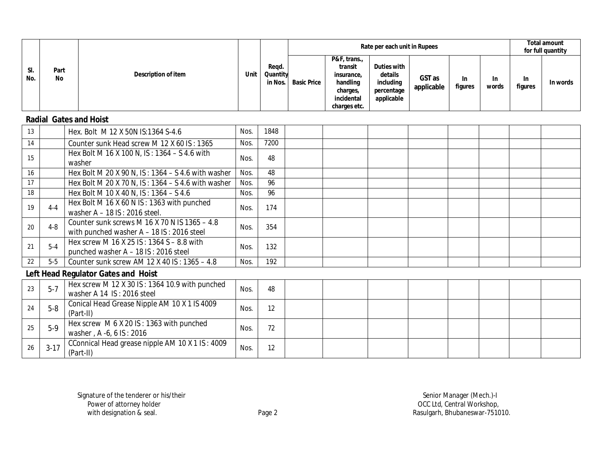|            |                               |                                            |      |                              |                    |                                                                                             |                                                                 | Rate per each unit in Rupees |                |                    |                      | Total amount<br>for full quantity |
|------------|-------------------------------|--------------------------------------------|------|------------------------------|--------------------|---------------------------------------------------------------------------------------------|-----------------------------------------------------------------|------------------------------|----------------|--------------------|----------------------|-----------------------------------|
| SI.<br>No. | Part<br>No                    | Description of item                        | Unit | Regd.<br>Quantity<br>in Nos. | <b>Basic Price</b> | P&F, trans.,<br>transit<br>insurance,<br>handling<br>charges,<br>incidental<br>charges etc. | Duties with<br>details<br>including<br>percentage<br>applicable | GST as<br>applicable         | In.<br>figures | <b>In</b><br>words | <b>In</b><br>figures | In words                          |
|            | <b>Radial Gates and Hoist</b> |                                            |      |                              |                    |                                                                                             |                                                                 |                              |                |                    |                      |                                   |
| 12         |                               | $U_{\Omega V}$ Rolt M10 V EONIC-1264 C A 6 | Moe  | 1949                         |                    |                                                                                             |                                                                 |                              |                |                    |                      |                                   |

| 13 |          | Hex. Bolt M 12 X 50N IS:1364 S-4.6                                                           | Nos. | 1848 |  |  |  |  |
|----|----------|----------------------------------------------------------------------------------------------|------|------|--|--|--|--|
| 14 |          | Counter sunk Head screw M 12 X 60 IS: 1365                                                   | Nos. | 7200 |  |  |  |  |
| 15 |          | Hex Bolt M 16 X 100 N, IS: 1364 - S 4.6 with<br>washer                                       | Nos. | 48   |  |  |  |  |
| 16 |          | Hex Bolt M 20 X 90 N, IS: 1364 - S 4.6 with washer                                           | Nos. | 48   |  |  |  |  |
| 17 |          | Hex Bolt M 20 X 70 N, IS: 1364 - S 4.6 with washer                                           | Nos. | 96   |  |  |  |  |
| 18 |          | Hex Bolt M 10 X 40 N, IS: 1364 - S 4.6                                                       | Nos. | 96   |  |  |  |  |
| 19 | $4 - 4$  | Hex Bolt M 16 X 60 N IS: 1363 with punched<br>washer A - 18 IS: 2016 steel.                  | Nos. | 174  |  |  |  |  |
| 20 | $4 - 8$  | Counter sunk screws M 16 X 70 N IS 1365 - 4.8<br>with punched washer $A - 18$ IS: 2016 steel | Nos. | 354  |  |  |  |  |
| 21 | $5 - 4$  | Hex screw M 16 X 25 IS: 1364 S - 8.8 with<br>punched washer A - 18 IS: 2016 steel            | Nos. | 132  |  |  |  |  |
| 22 | $5-5$    | Counter sunk screw AM 12 X 40 IS: 1365 - 4.8                                                 | Nos. | 192  |  |  |  |  |
|    |          | Left Head Regulator Gates and Hoist                                                          |      |      |  |  |  |  |
| 23 | $5 - 7$  | Hex screw M 12 X 30 IS: 1364 10.9 with punched<br>washer A 14 IS: 2016 steel                 | Nos. | 48   |  |  |  |  |
| 24 | $5-8$    | Conical Head Grease Nipple AM 10 X 1 IS 4009<br>(Part-II)                                    | Nos. | 12   |  |  |  |  |
| 25 | $5-9$    | Hex screw M 6 X 20 IS: 1363 with punched<br>washer, A-6, 61S: 2016                           | Nos. | 72   |  |  |  |  |
| 26 | $3 - 17$ | CConnical Head grease nipple AM 10 X 1 IS: 4009<br>(Part-II)                                 | Nos. | 12   |  |  |  |  |